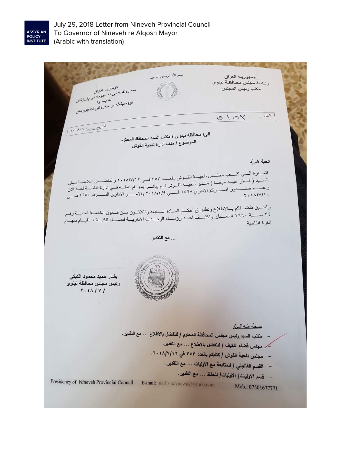

July 29, 2018 Letter from Nineveh Provincial Council To Governor of Nineveh re Alqosh Mayor (Arabic with translation)

بسم الله الرحمن الرحيم جمهورية العراق رناسة مجلس محافظة نينوى سده روی به کومل دی حزبانی<br>سده روی به تنی نده نبود در نمی بادندهای<br>- نووسیندنده ی سلس وی یانتیوه در مكتب رنيس المجلس تووسینىٹ قىلى نىلەرا كىمى با*ل لان*خان<br>تووسىيىٹ *تى سىلى وىلى ئىلن*چوومىن  $\mathbb{L}^{(2)}$ التادين : ١٨/٧/ ٢٠١٨/ الى/ محافظة نينوى / مكتب السيد المحافظ المحترم<br>الموضوع / رانس الغرافي الموضوع / ملف ادارة ناحية القوش<br>الموضوع / ملف ادارة ناحية القوش تحية طيبة اشــــارة الــــى كتــــاب مجلــــس ناحيــــة القـــوش بالعـــدد ٢٥٢ فــــى ٢٠١٨/٧/١٢ والمتضــــمن اعلامنــــا<br>الســـيد ( فـــانز عيـِــد ميخـــا ) مــدير ناحيـــة القــوش لـــديداشــر ١٥٥٠ أو عبر المعام الزام تالزا ر اجـــين تفضـــلكم بـــالاطلاع وتطبيــق احكــام المـــادة الســـابعة والثلاثــون مــن قـــانون الخدمــة المدنيــة رقــم<br>٢٤ لســــنة ١٩٦٠ المعـــدل وتكار فيارم (صدر الله الله الله الله عليه المنافس المنافسة المدنيــة رقــ ادارة الناحية ... مع التقدير بشار حميد محمود الكيكي رنيس مجلس محافظة نينوى  $Y.11/14$ نسخة منه الما - مكتب السيد رئيس مجلس المحافظة المحترم / للتفضل بالاطلاع ... مع التقدير. كر مجلس قضاء تلكيف / للتفضل بالاطلاع ... مع التقدير. - مجلس ناحية القوش / كتابكم بالعدد ٣٥٣ في ١٨/٧/١٢. - القسم القانوني / للمتابعة مع الاوليات ... مع التقدير. - قسم الاوليات/ الاوليات/ للحفظ ... مع التقدير. Presidency of Nineveh Provincial Council E-mail: majlis.naynawa@yahoo.com Mob.: 07501677771